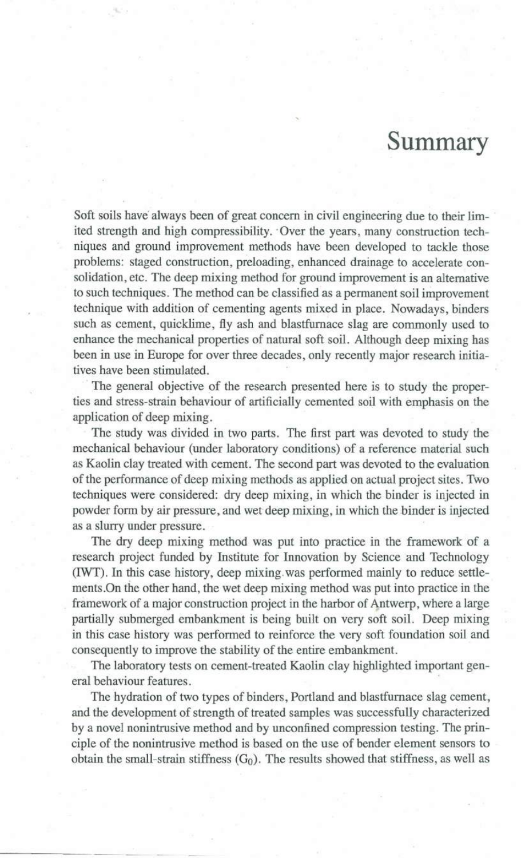## **Summary**

Soft soils have always been of great concern in civil engineering due to their limited strength and high compressibility. 'Over the years, many construction techniques and ground improvement methods have been developed to tackle those problems: staged construction, preloading, enhanced drainage to accelerate consolidation, etc. The deep mixing method for ground improvement is an alternative to such techniques. The method can be classified as a permanent soil improvement technique with addition of cementing agents mixed in place. Nowadays, binders such as cement, quicklime, fly ash and blastfurnace slag are commonly used to enhance the mechanical properties of natural soft soil. Although deep mixing has been in use in Europe for over three decades, only recently major research initiatives have been stimulated.

The general objective of the research presented here is to study the properties and stress-strain behaviour of artificially cemented soil with emphasis on the application of deep mixing.

The study was divided in two parts. The first part was devoted to study the mechanical behaviour (under laboratory conditions) of a reference material such as Kaolin clay treated with cement. The second part was devoted to the evaluation of the performance of deep mixing methods as applied on actual project sites. Two techniques were considered: dry deep mixing, in which the binder is injected in powder form by air pressure, and wet deep mixing, in which the binder is injected as a slurry under pressure.

The dry deep mixing method was put into practice in the framework of a research project funded by Institute for Innovation by Science and Technology (IWT). **In** this case history, deep mixing. was performed mainly to reduce settlements.On the other hand, the wet deep mixing method was put into practice in the framework of a major construction project in the harbor of Antwerp, where a large partially submerged embankment is being built on very soft soil. Deep mixing in this case history was performed to reinforce the very soft foundation soil and consequently to improve the stability of the entire embankment.

The laboratory tests on cement-treated Kaolin clay highlighted important general behaviour features.

The hydration of two types of binders, Portland and blastfurnace slag cement, and the development of strength of treated samples was successfully characterized by a novel nonintrusive method and by unconfined compression testing. The principle of the nonintrusive method is based on the use of bender element sensors to obtain the small-strain stiffness  $(G_0)$ . The results showed that stiffness, as well as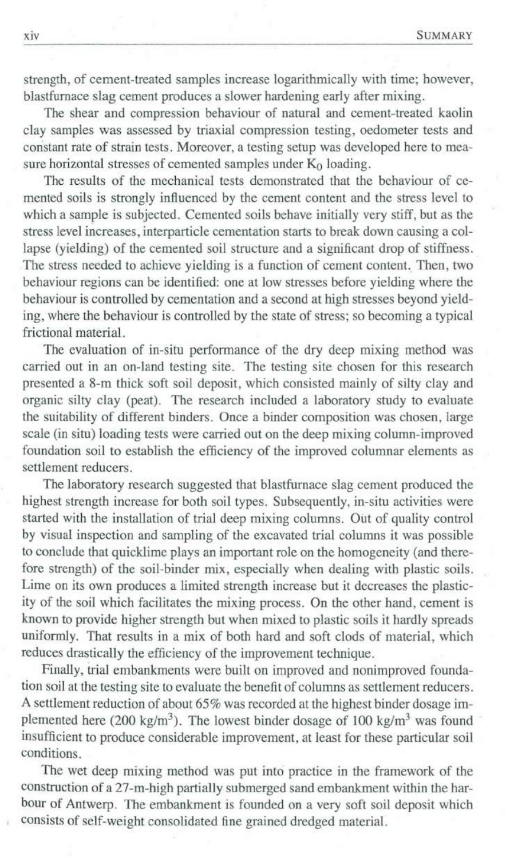strength, of cement-treated samples increase logarithmically with time; however, blastfurnace slag cement produces a slower hardening early after mixing.

The shear and compression behaviour of natural and cement-treated kaolin clay samples was assessed by triaxial compression testing, oedometer tests and constant rate of strain tests. Moreover, a testing setup was developed here to measure horizontal stresses of cemented samples under  $\hat{K}_0$  loading.

The results of the mechanical tests demonstrated that the behaviour of cemented soils is strongly inftuenced by the cement content and the stress level to which a sample is subjected. Cemented soils behave initially very stiff, but as the stress level increases, interpartiele cementation starts to break down causing a collapse (yielding) of the cemented soil structure and a significant drop of stiffness. The stress needed to achieve yielding is a function of cement content. Then, two behaviour regions can be identified: one at low stresses before yielding where the behaviour is controlled by cementation and a second at high stresses beyond yielding, where the behaviour is controlled by the state of stress; so becoming a typical frictional material.

The evaluation of in-situ performance of the dry deep mixing method was carried out in an on-land testing site. The testing site chosen for this research presented a 8-m thick soft soil deposit, which consisted mainly of silty clay and organic silty clay (peat). The research included a laboratory study to evaluate the suitability of different binders. Once a binder composition was chosen, large scale (in situ) loading tests were carried out on the deep mixing column-improved foundation soil to establish the efficiency of the improved columnar elements as settlement reducers.

The laboratory research suggested that blastfurnace slag cement produced the highest strength increase for both soil types. Subsequently, in-situ activities were started with the installation of trial deep mixing columns. Out of quality control by visual inspection and sampling of the excavated trial columns it was possible to conclude that quicklime plays an important role on the homogeneity (and therefore strength) of the soil-binder mix, especially when dealing with plastic soils. Lime on its own produces a limited strength increase but it decreases the plasticity of the soil which facilitates the mixing process. On the other hand, cement is known to provide higher strength but when mixed to plastic soils it hardly spreads uniformly. That results in a mix of both hard and soft clods of material, which reduces drastically the efficiency of the improvement technique.

Finally, trial embankments were built on improved and nonimproved foundation soil at the testing site to evaluate the benefit of columns as settlement reducers. A settlement reduction of about 65% was recorded at the highest binder dosage implemented here (200 kg/m<sup>3</sup>). The lowest binder dosage of 100 kg/m<sup>3</sup> was found insufficient to produce considerable improvement, at least for these particular soil conditions .

The wet deep mixing method was put into practice in the framework of the construction of a 27-m-high partially submerged sand embankment within the harbour of Antwerp. The embankment is founded on a very soft soil deposit which consists of self-weight consolidated fine grained dredged material.